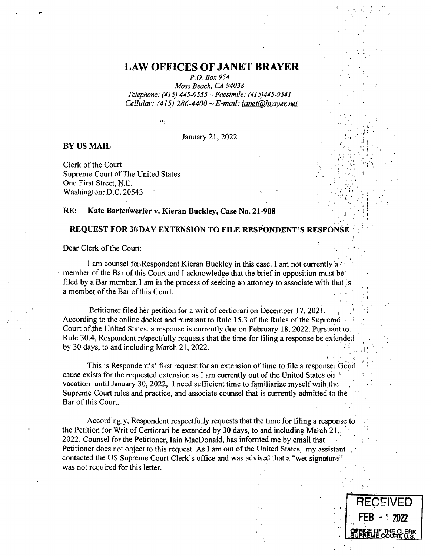## **LAW OFFICES OF JANET BRAYER**

*P.O. Box 954* 

*Moss Beach, CA 94038 Telephone: (415) 445-9555 ~ Facsimile: (415)445-9541 Cellular: (415) 286-4400 ~ E-mail: janet@brayer.net* 

 $\Lambda_1$ 

January 21, 2022

## **BY US MAIL**

Clerk of the Court Supreme Court of The United States One First Street, N.E. Washington; D.C. 20543

## **RE: Kate Bartenwerfer v. Kieran Buckley, Case No. 21-908**

## **REQUEST FOR 30 DAY EXTENSION TO FILE RESPONDENT'S RESPONSE**

Dear Clerk of the Court:

I am counsel for Respondent Kieran Buckley in this case. I am not currently a member of the Bar of this Court and I acknowledge that the brief in opposition must he filed by a Bar member. I am in the process of seeking an attorney to associate with that is a member.of the Bar of this Court.

Petitioner filed her petition for a writ of certiorari on December 17, 2021. According to the online docket and pursuant to Rule 15.3 of the Rules of the Supreme Court of the United States, a response is currently due on February 18, 2022. Pursuant to. Rule 30.4, Respondent respectfully requests that the time for tiling a response be extended by 30 days, to and including March 21, 2022.

This is Respondent's' first request for an extension of time to file a response. Good cause exists for the requested extension as I am currently out of the United States on vacation until January 30, 2022, I need sufficient time to familiarize myself with the Supreme Court rules and practice, and associate counsel that is currently admitted to the Bar of this Court.

Accordingly, Respondent respectfully requests that the time for filing a response to the Petition for Writ of Certiorari be extended by 30 days, to and including March 21. 2022. Counsel for the Petitioner, lain MacDonald, has informed me by email that Petitioner does not object to this request. As I am out of the United States, my assistant contacted the US Supreme Court Clerk's office and was advised that a "wet signature' was not required for this letter.

**RECEIVED** 

**FEB -1 2022** 

SUPREME COURT, U.S.